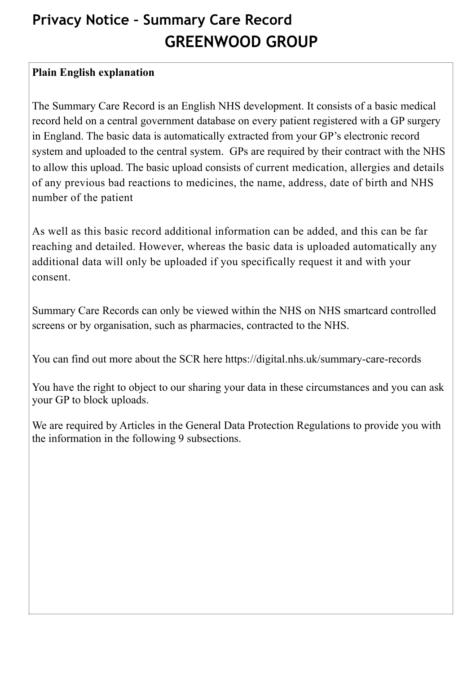## **Privacy Notice – Summary Care Record GREENWOOD GROUP**

## **Plain English explanation**

The Summary Care Record is an English NHS development. It consists of a basic medical record held on a central government database on every patient registered with a GP surgery in England. The basic data is automatically extracted from your GP's electronic record system and uploaded to the central system. GPs are required by their contract with the NHS to allow this upload. The basic upload consists of current medication, allergies and details of any previous bad reactions to medicines, the name, address, date of birth and NHS number of the patient

As well as this basic record additional information can be added, and this can be far reaching and detailed. However, whereas the basic data is uploaded automatically any additional data will only be uploaded if you specifically request it and with your consent.

Summary Care Records can only be viewed within the NHS on NHS smartcard controlled screens or by organisation, such as pharmacies, contracted to the NHS.

You can find out more about the SCR here https://digital.nhs.uk/summary-care-records

You have the right to object to our sharing your data in these circumstances and you can ask your GP to block uploads.

We are required by Articles in the General Data Protection Regulations to provide you with the information in the following 9 subsections.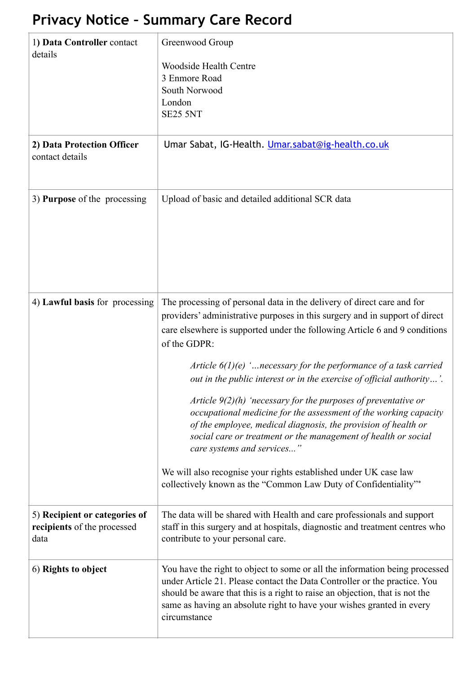## **Privacy Notice – Summary Care Record**

| 1) Data Controller contact<br>details                                | Greenwood Group<br><b>Woodside Health Centre</b><br>3 Enmore Road<br>South Norwood<br>London<br><b>SE25 5NT</b>                                                                                                                                                                                                                                                                                                                                                                                                                                                                                                                                                                                                                                                                                                                                      |
|----------------------------------------------------------------------|------------------------------------------------------------------------------------------------------------------------------------------------------------------------------------------------------------------------------------------------------------------------------------------------------------------------------------------------------------------------------------------------------------------------------------------------------------------------------------------------------------------------------------------------------------------------------------------------------------------------------------------------------------------------------------------------------------------------------------------------------------------------------------------------------------------------------------------------------|
| 2) Data Protection Officer<br>contact details                        | Umar Sabat, IG-Health. Umar.sabat@ig-health.co.uk                                                                                                                                                                                                                                                                                                                                                                                                                                                                                                                                                                                                                                                                                                                                                                                                    |
| 3) Purpose of the processing                                         | Upload of basic and detailed additional SCR data                                                                                                                                                                                                                                                                                                                                                                                                                                                                                                                                                                                                                                                                                                                                                                                                     |
| 4) Lawful basis for processing                                       | The processing of personal data in the delivery of direct care and for<br>providers' administrative purposes in this surgery and in support of direct<br>care elsewhere is supported under the following Article 6 and 9 conditions<br>of the GDPR:<br>Article $6(1)(e)$ ' necessary for the performance of a task carried<br>out in the public interest or in the exercise of official authority'.<br>Article $9(2)(h)$ 'necessary for the purposes of preventative or<br>occupational medicine for the assessment of the working capacity<br>of the employee, medical diagnosis, the provision of health or<br>social care or treatment or the management of health or social<br>care systems and services"<br>We will also recognise your rights established under UK case law<br>collectively known as the "Common Law Duty of Confidentiality"* |
| 5) Recipient or categories of<br>recipients of the processed<br>data | The data will be shared with Health and care professionals and support<br>staff in this surgery and at hospitals, diagnostic and treatment centres who<br>contribute to your personal care.                                                                                                                                                                                                                                                                                                                                                                                                                                                                                                                                                                                                                                                          |
| 6) Rights to object                                                  | You have the right to object to some or all the information being processed<br>under Article 21. Please contact the Data Controller or the practice. You<br>should be aware that this is a right to raise an objection, that is not the<br>same as having an absolute right to have your wishes granted in every<br>circumstance                                                                                                                                                                                                                                                                                                                                                                                                                                                                                                                     |